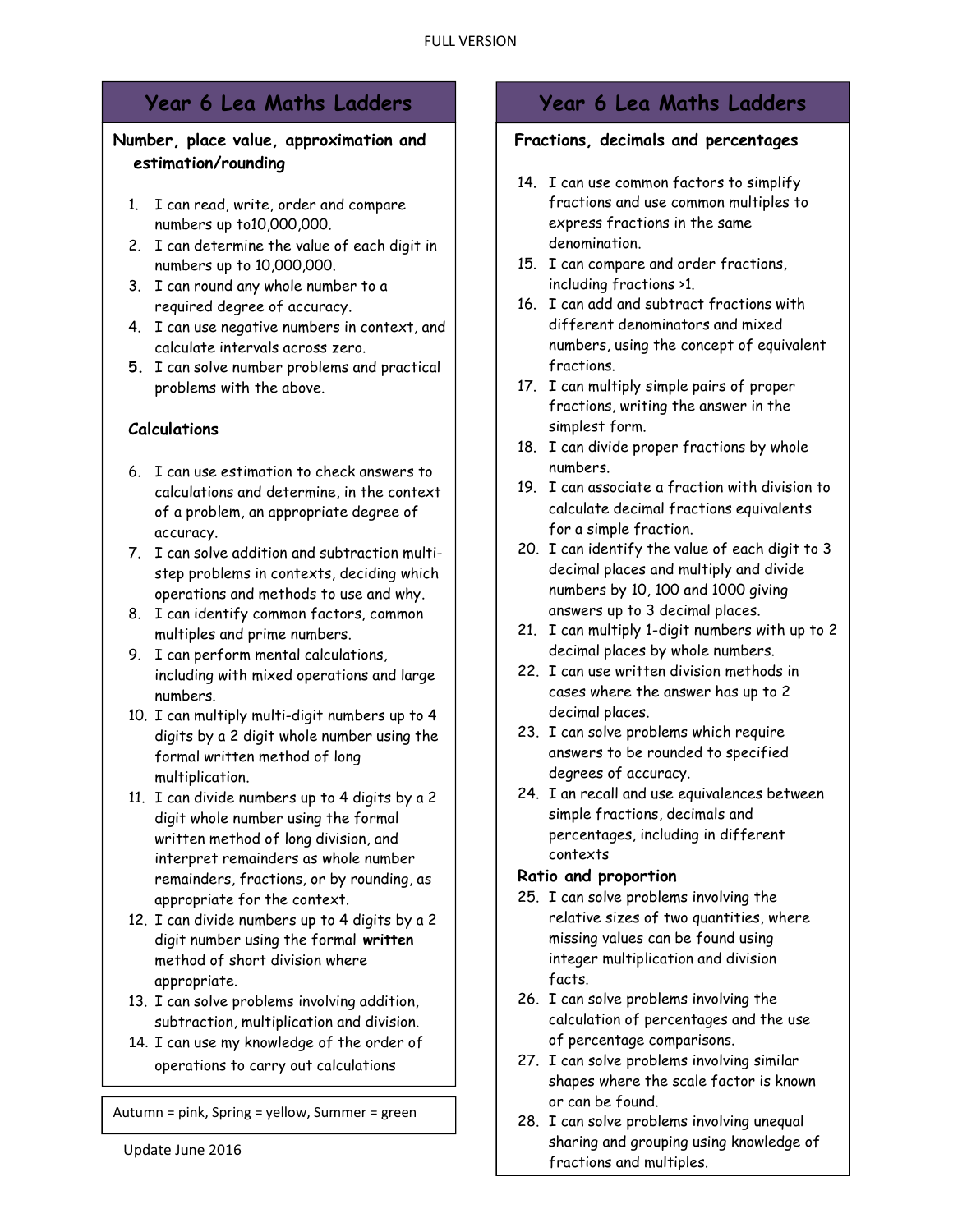# Number, place value, approximation and estimation/rounding

- 1. I can read, write, order and compare numbers up to10,000,000.
- 2. I can determine the value of each digit in numbers up to 10,000,000.
- 3. I can round any whole number to a required degree of accuracy.
- 4. I can use negative numbers in context, and calculate intervals across zero.
- 5. I can solve number problems and practical problems with the above.

# Calculations

- 6. I can use estimation to check answers to calculations and determine, in the context of a problem, an appropriate degree of accuracy.
- 7. I can solve addition and subtraction multistep problems in contexts, deciding which operations and methods to use and why.
- 8. I can identify common factors, common multiples and prime numbers.
- 9. I can perform mental calculations, including with mixed operations and large numbers.
- 10. I can multiply multi-digit numbers up to 4 digits by a 2 digit whole number using the formal written method of long multiplication.
- 11. I can divide numbers up to 4 digits by a 2 digit whole number using the formal written method of long division, and interpret remainders as whole number remainders, fractions, or by rounding, as appropriate for the context.
- 12. I can divide numbers up to 4 digits by a 2 digit number using the formal written method of short division where appropriate.
- 13. I can solve problems involving addition, subtraction, multiplication and division.
- 14. I can use my knowledge of the order of operations to carry out calculations

Autumn = pink, Spring = yellow, Summer = green

involving the four operations.

# Year 6 Lea Maths Ladders Year 6 Lea Maths Ladders

# Fractions, decimals and percentages

- 14. I can use common factors to simplify fractions and use common multiples to express fractions in the same denomination.
- 15. I can compare and order fractions, including fractions >1.
- 16. I can add and subtract fractions with different denominators and mixed numbers, using the concept of equivalent fractions.
- 17. I can multiply simple pairs of proper fractions, writing the answer in the simplest form.
- 18. I can divide proper fractions by whole numbers.
- 19. I can associate a fraction with division to calculate decimal fractions equivalents for a simple fraction.
- 20. I can identify the value of each digit to 3 decimal places and multiply and divide numbers by 10, 100 and 1000 giving answers up to 3 decimal places.
- 21. I can multiply 1-digit numbers with up to 2 decimal places by whole numbers.
- 22. I can use written division methods in cases where the answer has up to 2 decimal places.
- 23. I can solve problems which require answers to be rounded to specified degrees of accuracy.
- 24. I an recall and use equivalences between simple fractions, decimals and percentages, including in different contexts

# Ratio and proportion

- 25. I can solve problems involving the relative sizes of two quantities, where missing values can be found using integer multiplication and division facts.
- 26. I can solve problems involving the calculation of percentages and the use of percentage comparisons.
- 27. I can solve problems involving similar shapes where the scale factor is known or can be found.
- 28. I can solve problems involving unequal sharing and grouping using knowledge of fractions and multiples.